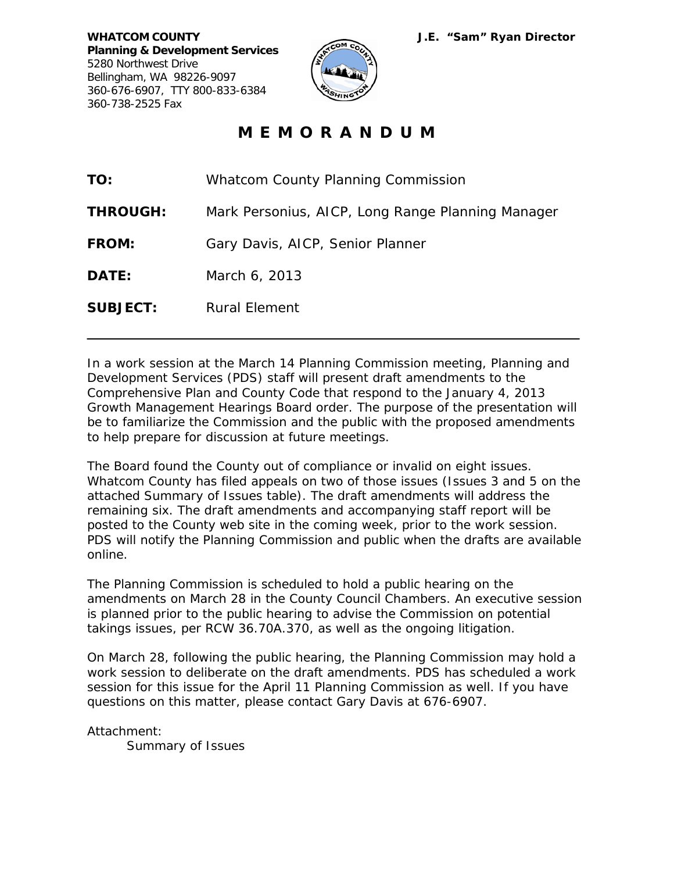

## **M E M O R A N D U M**

| TO:             | <b>Whatcom County Planning Commission</b>         |
|-----------------|---------------------------------------------------|
| <b>THROUGH:</b> | Mark Personius, AICP, Long Range Planning Manager |
| <b>FROM:</b>    | Gary Davis, AICP, Senior Planner                  |
| <b>DATE:</b>    | March 6, 2013                                     |
| <b>SUBJECT:</b> | Rural Element                                     |

In a work session at the March 14 Planning Commission meeting, Planning and Development Services (PDS) staff will present draft amendments to the Comprehensive Plan and County Code that respond to the January 4, 2013 Growth Management Hearings Board order. The purpose of the presentation will be to familiarize the Commission and the public with the proposed amendments to help prepare for discussion at future meetings.

The Board found the County out of compliance or invalid on eight issues. Whatcom County has filed appeals on two of those issues (Issues 3 and 5 on the attached Summary of Issues table). The draft amendments will address the remaining six. The draft amendments and accompanying staff report will be posted to the County web site in the coming week, prior to the work session. PDS will notify the Planning Commission and public when the drafts are available online.

The Planning Commission is scheduled to hold a public hearing on the amendments on March 28 in the County Council Chambers. An executive session is planned prior to the public hearing to advise the Commission on potential takings issues, per RCW 36.70A.370, as well as the ongoing litigation.

On March 28, following the public hearing, the Planning Commission may hold a work session to deliberate on the draft amendments. PDS has scheduled a work session for this issue for the April 11 Planning Commission as well. If you have questions on this matter, please contact Gary Davis at 676-6907.

Attachment:

Summary of Issues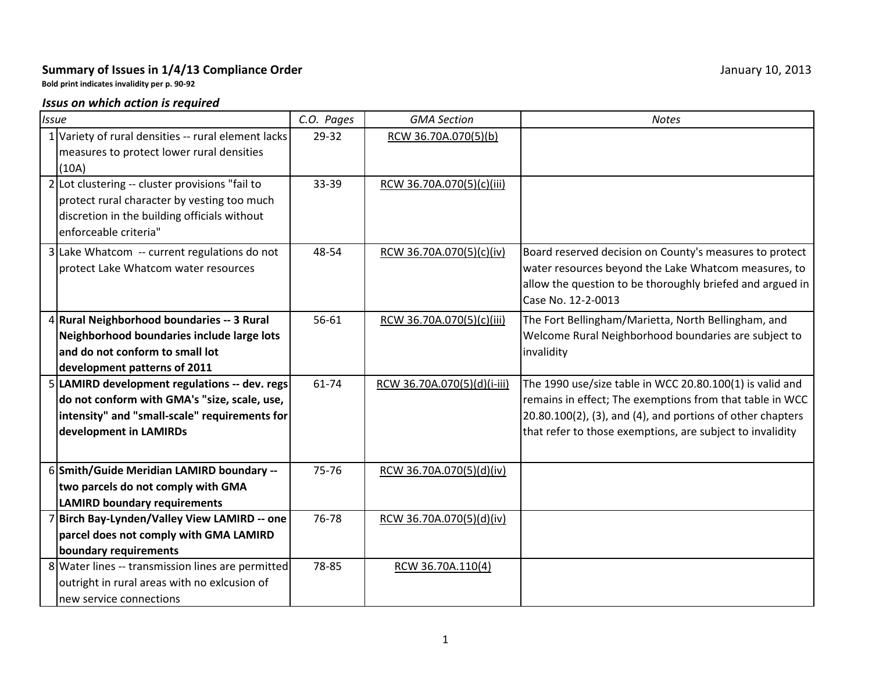## **Summary of Issues in 1/4/13 Compliance Order** January 10, 2013

**Bold print indicates invalidity per p. 90-92**

## *Issus on which action is required*

| <b>Issue</b> |                                                                                                                                                                          | C.O. Pages | <b>GMA Section</b>          | <b>Notes</b>                                                                                                                                                                                                                                       |
|--------------|--------------------------------------------------------------------------------------------------------------------------------------------------------------------------|------------|-----------------------------|----------------------------------------------------------------------------------------------------------------------------------------------------------------------------------------------------------------------------------------------------|
|              | 1 Variety of rural densities -- rural element lacks<br>measures to protect lower rural densities<br>(10A)                                                                | 29-32      | RCW 36.70A.070(5)(b)        |                                                                                                                                                                                                                                                    |
|              | 2 Lot clustering -- cluster provisions "fail to<br>protect rural character by vesting too much<br>discretion in the building officials without<br>enforceable criteria"  | 33-39      | RCW 36.70A.070(5)(c)(iii)   |                                                                                                                                                                                                                                                    |
|              | 3 Lake Whatcom -- current regulations do not<br>protect Lake Whatcom water resources                                                                                     | 48-54      | RCW 36.70A.070(5)(c)(iv)    | Board reserved decision on County's measures to protect<br>water resources beyond the Lake Whatcom measures, to<br>allow the question to be thoroughly briefed and argued in<br>Case No. 12-2-0013                                                 |
|              | 4 Rural Neighborhood boundaries -- 3 Rural<br>Neighborhood boundaries include large lots<br>and do not conform to small lot<br>development patterns of 2011              | 56-61      | RCW 36.70A.070(5)(c)(iii)   | The Fort Bellingham/Marietta, North Bellingham, and<br>Welcome Rural Neighborhood boundaries are subject to<br>invalidity                                                                                                                          |
|              | 5 LAMIRD development regulations -- dev. regs<br>do not conform with GMA's "size, scale, use,<br>intensity" and "small-scale" requirements for<br>development in LAMIRDs | 61-74      | RCW_36.70A.070(5)(d)(i-iii) | The 1990 use/size table in WCC 20.80.100(1) is valid and<br>remains in effect; The exemptions from that table in WCC<br>$20.80.100(2)$ , (3), and (4), and portions of other chapters<br>that refer to those exemptions, are subject to invalidity |
|              | 6 Smith/Guide Meridian LAMIRD boundary --<br>two parcels do not comply with GMA<br><b>LAMIRD boundary requirements</b>                                                   | 75-76      | RCW 36.70A.070(5)(d)(iv)    |                                                                                                                                                                                                                                                    |
|              | 7 Birch Bay-Lynden/Valley View LAMIRD -- one<br>parcel does not comply with GMA LAMIRD<br>boundary requirements                                                          | 76-78      | RCW 36.70A.070(5)(d)(iv)    |                                                                                                                                                                                                                                                    |
|              | 8 Water lines -- transmission lines are permitted<br>outright in rural areas with no exlcusion of<br>new service connections                                             | 78-85      | RCW 36.70A.110(4)           |                                                                                                                                                                                                                                                    |